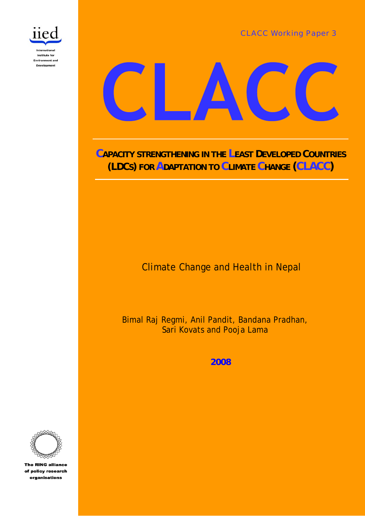CLACC Working Paper 3





**CAPACITY STRENGTHENING IN THE LEAST DEVELOPED COUNTRIES (LDCS) FOR ADAPTATION TO CLIMATE CHANGE (CLACC)**

Climate Change and Health in Nepal

Bimal Raj Regmi, Anil Pandit, Bandana Pradhan, Sari Kovats and Pooja Lama

**2008**



**The RING alliance** of policy research organisations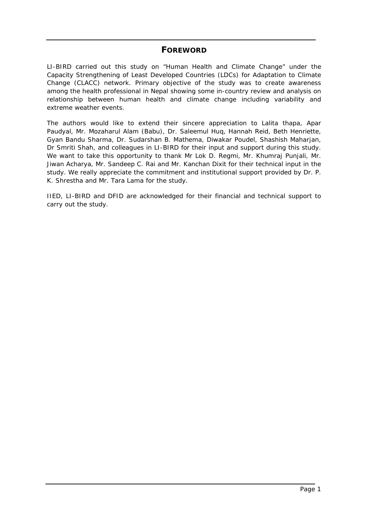# **FOREWORD**

LI-BIRD carried out this study on "Human Health and Climate Change" under the Capacity Strengthening of Least Developed Countries (LDCs) for Adaptation to Climate Change (CLACC) network. Primary objective of the study was to create awareness among the health professional in Nepal showing some in-country review and analysis on relationship between human health and climate change including variability and extreme weather events.

The authors would like to extend their sincere appreciation to Lalita thapa, Apar Paudyal, Mr. Mozaharul Alam (Babu), Dr. Saleemul Huq, Hannah Reid, Beth Henriette, Gyan Bandu Sharma, Dr. Sudarshan B. Mathema, Diwakar Poudel, Shashish Maharjan, Dr Smriti Shah, and colleagues in LI-BIRD for their input and support during this study. We want to take this opportunity to thank Mr Lok D. Regmi, Mr. Khumraj Punjali, Mr. Jiwan Acharya, Mr. Sandeep C. Rai and Mr. Kanchan Dixit for their technical input in the study. We really appreciate the commitment and institutional support provided by Dr. P. K. Shrestha and Mr. Tara Lama for the study.

IIED, LI-BIRD and DFID are acknowledged for their financial and technical support to carry out the study.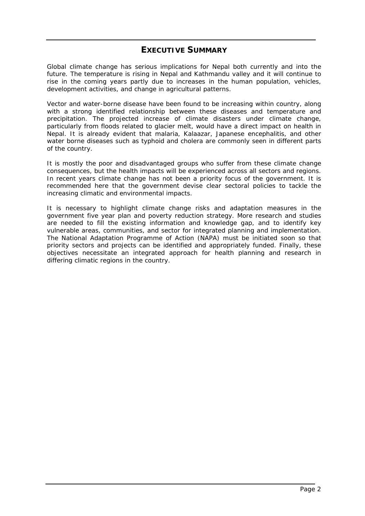# **EXECUTIVE SUMMARY**

Global climate change has serious implications for Nepal both currently and into the future. The temperature is rising in Nepal and Kathmandu valley and it will continue to rise in the coming years partly due to increases in the human population, vehicles, development activities, and change in agricultural patterns.

Vector and water-borne disease have been found to be increasing within country, along with a strong identified relationship between these diseases and temperature and precipitation. The projected increase of climate disasters under climate change, particularly from floods related to glacier melt, would have a direct impact on health in Nepal. It is already evident that malaria, Kalaazar, Japanese encephalitis, and other water borne diseases such as typhoid and cholera are commonly seen in different parts of the country.

It is mostly the poor and disadvantaged groups who suffer from these climate change consequences, but the health impacts will be experienced across all sectors and regions. In recent years climate change has not been a priority focus of the government. It is recommended here that the government devise clear sectoral policies to tackle the increasing climatic and environmental impacts.

It is necessary to highlight climate change risks and adaptation measures in the government five year plan and poverty reduction strategy. More research and studies are needed to fill the existing information and knowledge gap, and to identify key vulnerable areas, communities, and sector for integrated planning and implementation. The National Adaptation Programme of Action (NAPA) must be initiated soon so that priority sectors and projects can be identified and appropriately funded. Finally, these objectives necessitate an integrated approach for health planning and research in differing climatic regions in the country.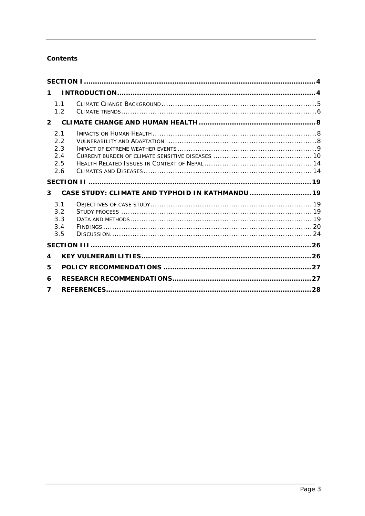# **Contents**

| $\mathbf 1$                            |                                                  |  |
|----------------------------------------|--------------------------------------------------|--|
| 1.1<br>1.2                             |                                                  |  |
| $2^{\circ}$                            |                                                  |  |
| 2.1<br>2.2<br>2.3<br>2.4<br>2.5<br>2.6 |                                                  |  |
|                                        |                                                  |  |
| 3                                      | CASE STUDY: CLIMATE AND TYPHOID IN KATHMANDU  19 |  |
|                                        |                                                  |  |
| 3.1<br>3.2<br>3.3<br>3.4<br>3.5        |                                                  |  |
|                                        |                                                  |  |
| 4                                      |                                                  |  |
| 5                                      |                                                  |  |
| 6                                      |                                                  |  |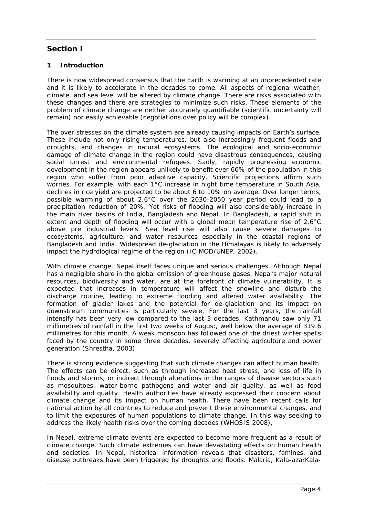# <span id="page-4-0"></span>**Section I**

# **1 Introduction**

There is now widespread consensus that the Earth is warming at an unprecedented rate and it is likely to accelerate in the decades to come. All aspects of regional weather, climate, and sea level will be altered by climate change. There are risks associated with these changes and there are strategies to minimize such risks. These elements of the problem of climate change are neither accurately quantifiable (scientific uncertainty will remain) nor easily achievable (negotiations over policy will be complex).

The over stresses on the climate system are already causing impacts on Earth's surface. These include not only rising temperatures, but also increasingly frequent floods and droughts, and changes in natural ecosystems. The ecological and socio-economic damage of climate change in the region could have disastrous consequences, causing social unrest and environmental refugees. Sadly, rapidly progressing economic development in the region appears unlikely to benefit over 60% of the population in this region who suffer from poor adaptive capacity. Scientific projections affirm such worries. For example, with each 1°C increase in night time temperature in South Asia, declines in rice yield are projected to be about 6 to 10% on average. Over longer terms, possible warming of about 2.6°C over the 2030-2050 year period could lead to a precipitation reduction of 20%. Yet risks of flooding will also considerably increase in the main river basins of India, Bangladesh and Nepal. In Bangladesh, a rapid shift in extent and depth of flooding will occur with a global mean temperature rise of 2.6°C above pre industrial levels. Sea level rise will also cause severe damages to ecosystems, agriculture, and water resources especially in the coastal regions of Bangladesh and India. Widespread de-glaciation in the Himalayas is likely to adversely impact the hydrological regime of the region (ICIMOD/UNEP, 2002).

With climate change, Nepal itself faces unique and serious challenges. Although Nepal has a negligible share in the global emission of greenhouse gases, Nepal's major natural resources, biodiversity and water, are at the forefront of climate vulnerability. It is expected that increases in temperature will affect the snowline and disturb the discharge routine, leading to extreme flooding and altered water availability. The formation of glacier lakes and the potential for de-glaciation and its impact on downstream communities is particularly severe. For the last 3 years, the rainfall intensify has been very low compared to the last 3 decades. Kathmandu saw only 71 millimetres of rainfall in the first two weeks of August, well below the average of 319.6 millimetres for this month. A weak monsoon has followed one of the driest winter spells faced by the country in some three decades, severely affecting agriculture and power generation (Shrestha, 2003)

There is strong evidence suggesting that such climate changes can affect human health. The effects can be direct, such as through increased heat stress, and loss of life in floods and storms, or indirect through alterations in the ranges of disease vectors such as mosquitoes, water-borne pathogens and water and air quality, as well as food availability and quality. Health authorities have already expressed their concern about climate change and its impact on human health. There have been recent calls for national action by all countries to reduce and prevent these environmental changes, and to limit the exposures of human populations to climate change. In this way seeking to address the likely health risks over the coming decades (WHOSIS 2008),

In Nepal, extreme climate events are expected to become more frequent as a result of climate change. Such climate extremes can have devastating effects on human health and societies. In Nepal, historical information reveals that disasters, famines, and disease outbreaks have been triggered by droughts and floods. Malaria, Kala-azarKala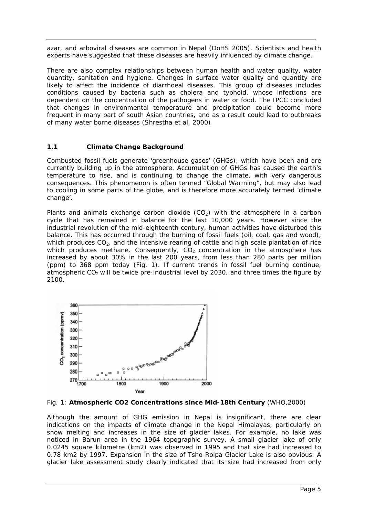<span id="page-5-0"></span>azar, and arboviral diseases are common in Nepal (DoHS 2005). Scientists and health experts have suggested that these diseases are heavily influenced by climate change.

There are also complex relationships between human health and water quality, water quantity, sanitation and hygiene. Changes in surface water quality and quantity are likely to affect the incidence of diarrhoeal diseases. This group of diseases includes conditions caused by bacteria such as cholera and typhoid, whose infections are dependent on the concentration of the pathogens in water or food. The IPCC concluded that changes in environmental temperature and precipitation could become more frequent in many part of south Asian countries, and as a result could lead to outbreaks of many water borne diseases (Shrestha et al. 2000)

# **1.1 Climate Change Background**

Combusted fossil fuels generate 'greenhouse gases' (GHGs), which have been and are currently building up in the atmosphere. Accumulation of GHGs has caused the earth's temperature to rise, and is continuing to change the climate, with very dangerous consequences. This phenomenon is often termed "Global Warming", but may also lead to cooling in some parts of the globe, and is therefore more accurately termed 'climate change'.

Plants and animals exchange carbon dioxide  $(CO<sub>2</sub>)$  with the atmosphere in a carbon cycle that has remained in balance for the last 10,000 years. However since the industrial revolution of the mid-eighteenth century, human activities have disturbed this balance. This has occurred through the burning of fossil fuels (oil, coal, gas and wood), which produces  $CO<sub>2</sub>$ , and the intensive rearing of cattle and high scale plantation of rice which produces methane. Consequently,  $CO<sub>2</sub>$  concentration in the atmosphere has increased by about 30% in the last 200 years, from less than 280 parts per million (ppm) to 368 ppm today (Fig. 1). If current trends in fossil fuel burning continue, atmospheric  $CO<sub>2</sub>$  will be twice pre-industrial level by 2030, and three times the figure by 2100.



Fig. 1: **Atmospheric CO2 Concentrations since Mid-18th Century** (WHO,2000)

Although the amount of GHG emission in Nepal is insignificant, there are clear indications on the impacts of climate change in the Nepal Himalayas, particularly on snow melting and increases in the size of glacier lakes. For example, no lake was noticed in Barun area in the 1964 topographic survey. A small glacier lake of only 0.0245 square kilometre (km2) was observed in 1995 and that size had increased to 0.78 km2 by 1997. Expansion in the size of Tsho Rolpa Glacier Lake is also obvious. A glacier lake assessment study clearly indicated that its size had increased from only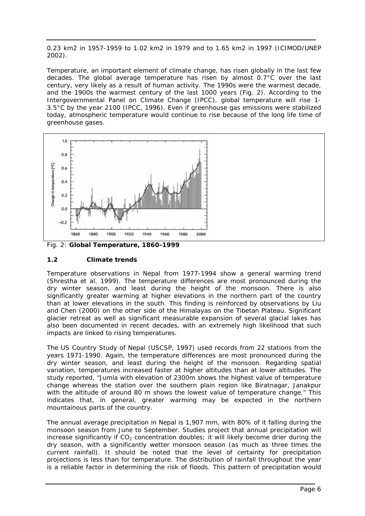<span id="page-6-0"></span>0.23 km2 in 1957-1959 to 1.02 km2 in 1979 and to 1.65 km2 in 1997 (ICIMOD/UNEP 2002).

Temperature, an important element of climate change, has risen globally in the last few decades. The global average temperature has risen by almost 0.7°C over the last century, very likely as a result of human activity. The 1990s were the warmest decade, and the 1900s the warmest century of the last 1000 years (Fig. 2). According to the Intergovernmental Panel on Climate Change (IPCC), global temperature will rise 1- 3.5°C by the year 2100 (IPCC, 1996). Even if greenhouse gas emissions were stabilized today, atmospheric temperature would continue to rise because of the long life time of greenhouse gases.



Fig. 2: **Global Temperature, 1860-1999** 

# **1.2 Climate trends**

Temperature observations in Nepal from 1977-1994 show a general warming trend (Shrestha et al. 1999). The temperature differences are most pronounced during the dry winter season, and least during the height of the monsoon. There is also significantly greater warming at higher elevations in the northern part of the country than at lower elevations in the south. This finding is reinforced by observations by Liu and Chen (2000) on the other side of the Himalayas on the Tibetan Plateau. Significant glacier retreat as well as significant measurable expansion of several glacial lakes has also been documented in recent decades, with an extremely high likelihood that such impacts are linked to rising temperatures.

The US Country Study of Nepal (USCSP, 1997) used records from 22 stations from the years 1971-1990. Again, the temperature differences are most pronounced during the dry winter season, and least during the height of the monsoon. Regarding spatial variation, temperatures increased faster at higher altitudes than at lower altitudes. The study reported, "Jumla with elevation of 2300m shows the highest value of temperature change whereas the station over the southern plain region like Biratnagar, Janakpur with the altitude of around 80 m shows the lowest value of temperature change." This indicates that, in general, greater warming may be expected in the northern mountainous parts of the country.

The annual average precipitation in Nepal is 1,907 mm, with 80% of it falling during the monsoon season from June to September. Studies project that annual precipitation will increase significantly if  $CO<sub>2</sub>$  concentration doubles; it will likely become drier during the dry season, with a significantly wetter monsoon season (as much as three times the current rainfall). It should be noted that the level of certainty for precipitation projections is less than for temperature. The distribution of rainfall throughout the year is a reliable factor in determining the risk of floods. This pattern of precipitation would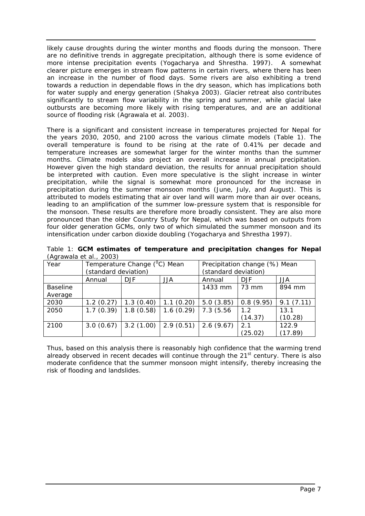likely cause droughts during the winter months and floods during the monsoon. There are no definitive trends in aggregate precipitation, although there is some evidence of more intense precipitation events (Yogacharya and Shrestha. 1997). A somewhat clearer picture emerges in stream flow patterns in certain rivers, where there has been an increase in the number of flood days. Some rivers are also exhibiting a trend towards a reduction in dependable flows in the dry season, which has implications both for water supply and energy generation (Shakya 2003). Glacier retreat also contributes significantly to stream flow variability in the spring and summer, while glacial lake outbursts are becoming more likely with rising temperatures, and are an additional source of flooding risk (Agrawala et al. 2003).

There is a significant and consistent increase in temperatures projected for Nepal for the years 2030, 2050, and 2100 across the various climate models (Table 1). The overall temperature is found to be rising at the rate of 0.41% per decade and temperature increases are somewhat larger for the winter months than the summer months. Climate models also project an overall increase in annual precipitation. However given the high standard deviation, the results for annual precipitation should be interpreted with caution. Even more speculative is the slight increase in winter precipitation, while the signal is somewhat more pronounced for the increase in precipitation during the summer monsoon months (June, July, and August). This is attributed to models estimating that air over land will warm more than air over oceans, leading to an amplification of the summer low-pressure system that is responsible for the monsoon. These results are therefore more broadly consistent. They are also more pronounced than the older Country Study for Nepal, which was based on outputs from four older generation GCMs, only two of which simulated the summer monsoon and its intensification under carbon dioxide doubling (Yogacharya and Shrestha 1997).

| Table 1: GCM estimates of temperature and precipitation changes for Nepal |  |  |  |  |
|---------------------------------------------------------------------------|--|--|--|--|
| (Agrawala et al., 2003)                                                   |  |  |  |  |

| $\frac{1}{2}$ . a a.a. o.c. a $=$ $\frac{1}{2}$ |                      |                              |           |                               |           |           |  |  |
|-------------------------------------------------|----------------------|------------------------------|-----------|-------------------------------|-----------|-----------|--|--|
| Year                                            |                      | Temperature Change (°C) Mean |           | Precipitation change (%) Mean |           |           |  |  |
|                                                 | (standard deviation) |                              |           | (standard deviation)          |           |           |  |  |
|                                                 | Annual               | DJF.                         | JJA       | Annual                        | DJF.      | JJA.      |  |  |
| <b>Baseline</b>                                 |                      |                              |           | 1433 mm                       | 73 mm     | 894 mm    |  |  |
| Average                                         |                      |                              |           |                               |           |           |  |  |
| 2030                                            | 1.2(0.27)            | 1.3(0.40)                    | 1.1(0.20) | 5.0(3.85)                     | 0.8(9.95) | 9.1(7.11) |  |  |
| 2050                                            | 1.7(0.39)            | 1.8(0.58)                    | 1.6(0.29) | 7.3 (5.56)                    | 1.2       | 13.1      |  |  |
|                                                 |                      |                              |           |                               | (14.37)   | (10.28)   |  |  |
| 2100                                            | 3.0(0.67)            | 3.2(1.00)                    | 2.9(0.51) | 2.6(9.67)                     | 2.1       | 122.9     |  |  |
|                                                 |                      |                              |           |                               | (25.02)   | (17.89)   |  |  |

Thus, based on this analysis there is reasonably high confidence that the warming trend already observed in recent decades will continue through the  $21<sup>st</sup>$  century. There is also moderate confidence that the summer monsoon might intensify, thereby increasing the risk of flooding and landslides.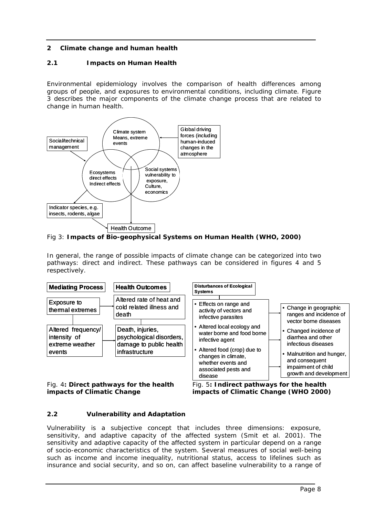# <span id="page-8-0"></span>**2 Climate change and human health**

# **2.1 Impacts on Human Health**

Environmental epidemiology involves the comparison of health differences among groups of people, and exposures to environmental conditions, including climate. Figure 3 describes the major components of the climate change process that are related to change in human health.



Fig 3: **Impacts of Bio-geophysical Systems on Human Health (WHO, 2000)** 

In general, the range of possible impacts of climate change can be categorized into two pathways: direct and indirect. These pathways can be considered in figures 4 and 5 respectively.



Fig. 4**: Direct pathways for the health impacts of Climatic Change**

Fig. 5**: Indirect pathways for the health impacts of Climatic Change (WHO 2000)**

# **2.2 Vulnerability and Adaptation**

Vulnerability is a subjective concept that includes three dimensions: exposure, sensitivity, and adaptive capacity of the affected system (Smit et al. 2001). The sensitivity and adaptive capacity of the affected system in particular depend on a range of socio-economic characteristics of the system. Several measures of social well-being such as income and income inequality, nutritional status, access to lifelines such as insurance and social security, and so on, can affect baseline vulnerability to a range of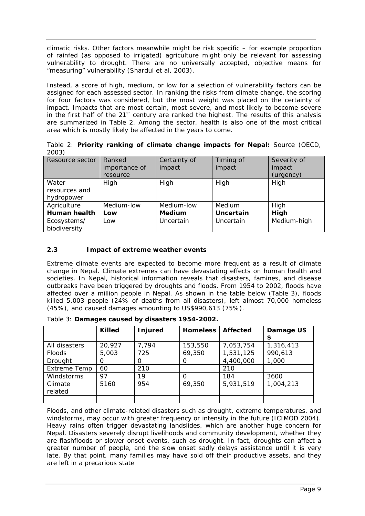<span id="page-9-0"></span>climatic risks. Other factors meanwhile might be risk specific – for example proportion of rainfed (as opposed to irrigated) agriculture might only be relevant for assessing vulnerability to drought. There are no universally accepted, objective means for "measuring" vulnerability (Shardul et al, 2003).

Instead, a score of high, medium, or low for a selection of vulnerability factors can be assigned for each assessed sector. In ranking the risks from climate change, the scoring for four factors was considered, but the most weight was placed on the certainty of impact. Impacts that are most certain, most severe, and most likely to become severe in the first half of the  $21<sup>st</sup>$  century are ranked the highest. The results of this analysis are summarized in Table 2. Among the sector, health is also one of the most critical area which is mostly likely be affected in the years to come.

Table 2: **Priority ranking of climate change impacts for Nepal:** Source (OECD, 2003)

| Resource sector     | Ranked        | Certainty of  | Timing of        | Severity of |
|---------------------|---------------|---------------|------------------|-------------|
|                     | importance of | impact        | impact           | impact      |
|                     | resource      |               |                  | (urgency)   |
| Water               | High          | High          | High             | High        |
| resources and       |               |               |                  |             |
| hydropower          |               |               |                  |             |
| Agriculture         | Medium-low    | Medium-low    | Medium           | High        |
| <b>Human health</b> | Low           | <b>Medium</b> | <b>Uncertain</b> | High        |
| Ecosystems/         | Low           | Uncertain     | Uncertain        | Medium-high |
| biodiversity        |               |               |                  |             |

# **2.3 Impact of extreme weather events**

Extreme climate events are expected to become more frequent as a result of climate change in Nepal. Climate extremes can have devastating effects on human health and societies. In Nepal, historical information reveals that disasters, famines, and disease outbreaks have been triggered by droughts and floods. From 1954 to 2002, floods have affected over a million people in Nepal. As shown in the table below (Table 3), floods killed 5,003 people (24% of deaths from all disasters), left almost 70,000 homeless (45%), and caused damages amounting to US\$990,613 (75%).

|                     | <b>Killed</b> | Injured  | <b>Homeless</b> | <b>Affected</b> | Damage US<br>\$ |
|---------------------|---------------|----------|-----------------|-----------------|-----------------|
| All disasters       | 20,927        | 7,794    | 153,550         | 7,053,754       | 1,316,413       |
| <b>Floods</b>       | 5,003         | 725      | 69,350          | 1,531,125       | 990,613         |
| Drought             | 0             | $\Omega$ | 0               | 4,400,000       | 1,000           |
| <b>Extreme Temp</b> | 60            | 210      |                 | 210             |                 |
| Windstorms          | 97            | 19       |                 | 184             | 3600            |
| Climate             | 5160          | 954      | 69,350          | 5,931,519       | 1,004,213       |
| related             |               |          |                 |                 |                 |
|                     |               |          |                 |                 |                 |

Table 3: **Damages caused by disasters 1954-2002.** 

Floods, and other climate-related disasters such as drought, extreme temperatures, and windstorms, may occur with greater frequency or intensity in the future (ICIMOD 2004). Heavy rains often trigger devastating landslides, which are another huge concern for Nepal. Disasters severely disrupt livelihoods and community development, whether they are flashfloods or slower onset events, such as drought. In fact, droughts can affect a greater number of people, and the slow onset sadly delays assistance until it is very late. By that point, many families may have sold off their productive assets, and they are left in a precarious state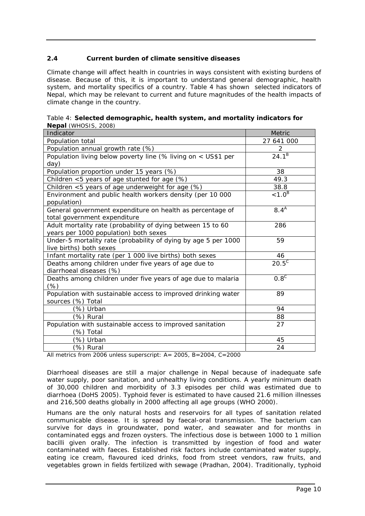# <span id="page-10-0"></span>**2.4 Current burden of climate sensitive diseases**

Climate change will affect health in countries in ways consistent with existing burdens of disease. Because of this, it is important to understand general demographic, health system, and mortality specifics of a country. Table 4 has shown selected indicators of Nepal, which may be relevant to current and future magnitudes of the health impacts of climate change in the country.

| $\frac{1}{2}$<br>Indicator                                     | <b>Metric</b>    |
|----------------------------------------------------------------|------------------|
| Population total                                               | 27 641 000       |
| Population annual growth rate (%)                              | 2                |
| Population living below poverty line (% living on < US\$1 per  | $24.1^{B}$       |
| day)                                                           |                  |
| Population proportion under 15 years (%)                       | 38               |
| Children <5 years of age stunted for age (%)                   | 49.3             |
| Children <5 years of age underweight for age (%)               | 38.8             |
| Environment and public health workers density (per 10 000      | $< 1.0^B$        |
| population)                                                    |                  |
| General government expenditure on health as percentage of      | 8.4 <sup>A</sup> |
| total government expenditure                                   |                  |
| Adult mortality rate (probability of dying between 15 to 60    | 286              |
| years per 1000 population) both sexes                          |                  |
| Under-5 mortality rate (probability of dying by age 5 per 1000 | 59               |
| live births) both sexes                                        |                  |
| Infant mortality rate (per 1 000 live births) both sexes       | 46               |
| Deaths among children under five years of age due to           | $20.5^{\circ}$   |
| diarrhoeal diseases (%)                                        |                  |
| Deaths among children under five years of age due to malaria   | 0.8 <sup>c</sup> |
| (%)                                                            |                  |
| Population with sustainable access to improved drinking water  | 89               |
| sources (%) Total                                              |                  |
| (%) Urban                                                      | 94               |
| (%) Rural                                                      | 88               |
| Population with sustainable access to improved sanitation      | 27               |
| (%) Total                                                      |                  |
| (%) Urban                                                      | 45               |
| (%) Rural                                                      | 24               |

Table 4: **Selected demographic, health system, and mortality indicators for Nepal** (WHOSIS, 2008)

All metrics from 2006 unless superscript: A= 2005, B=2004, C=2000

Diarrhoeal diseases are still a major challenge in Nepal because of inadequate safe water supply, poor sanitation, and unhealthy living conditions. A yearly minimum death of 30,000 children and morbidity of 3.3 episodes per child was estimated due to diarrhoea (DoHS 2005). Typhoid fever is estimated to have caused 21.6 million illnesses and 216,500 deaths globally in 2000 affecting all age groups (WHO 2000).

Humans are the only natural hosts and reservoirs for all types of sanitation related communicable disease. It is spread by faecal-oral transmission. The bacterium can survive for days in groundwater, pond water, and seawater and for months in contaminated eggs and frozen oysters. The infectious dose is between 1000 to 1 million bacilli given orally. The infection is transmitted by ingestion of food and water contaminated with faeces. Established risk factors include contaminated water supply, eating ice cream, flavoured iced drinks, food from street vendors, raw fruits, and vegetables grown in fields fertilized with sewage (Pradhan, 2004). Traditionally, typhoid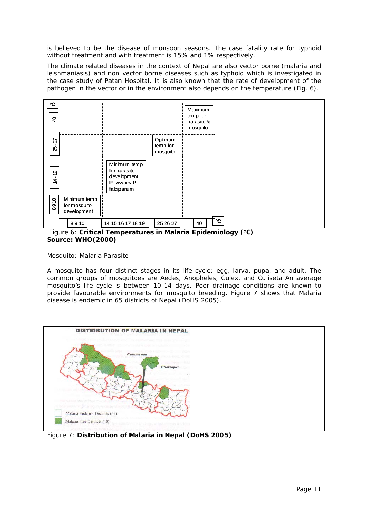is believed to be the disease of monsoon seasons. The case fatality rate for typhoid without treatment and with treatment is 15% and 1% respectively.

The climate related diseases in the context of Nepal are also vector borne (malaria and leishmaniasis) and non vector borne diseases such as typhoid which is investigated in the case study of Patan Hospital. It is also known that the rate of development of the pathogen in the vector or in the environment also depends on the temperature (Fig. 6).



 Figure 6: **Critical Temperatures in Malaria Epidemiology (**°**C) Source: WHO(2000)**

### *Mosquito: Malaria Parasite*

A mosquito has four distinct stages in its life cycle: egg, larva, pupa, and adult. The common groups of mosquitoes are *Aedes, Anopheles, Culex,* and *Culiseta* An average mosquito's life cycle is between 10-14 days. Poor drainage conditions are known to provide favourable environments for mosquito breeding. Figure 7 shows that Malaria disease is endemic in 65 districts of Nepal (DoHS 2005).



Figure 7: **Distribution of Malaria in Nepal (DoHS 2005)**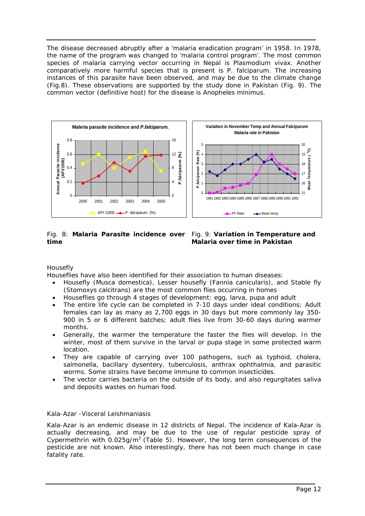The disease decreased abruptly after a 'malaria eradication program' in 1958. In 1978, the name of the program was changed to 'malaria control program'. The most common species of malaria carrying vector occurring in Nepal is *Plasmodium vivax.* Another comparatively more harmful species that is present is *P. falciparum*. The increasing instances of this parasite have been observed, and may be due to the climate change (Fig.8). These observations are supported by the study done in Pakistan (Fig. 9). The common vector (definitive host) for the disease is *Anopheles minimus*.



### Fig. 8: **Malaria Parasite incidence over time**



# *Housefly*

Houseflies have also been identified for their association to human diseases:

- Housefly (*Musca domestica*), Lesser housefly (*Fannia canicularis*), and Stable fly (*Stomoxys calcitrans*) are the most common flies occurring in homes
- Houseflies go through 4 stages of development: egg, larva, pupa and adult
- The entire life cycle can be completed in 7-10 days under ideal conditions; Adult females can lay as many as 2,700 eggs in 30 days but more commonly lay 350- 900 in 5 or 6 different batches; adult flies live from 30-60 days during warmer months.
- Generally, the warmer the temperature the faster the flies will develop. In the winter, most of them survive in the larval or pupa stage in some protected warm location.
- They are capable of carrying over 100 pathogens, such as typhoid, cholera, salmonella, bacillary dysentery, tuberculosis, anthrax ophthalmia, and parasitic worms. Some strains have become immune to common insecticides.
- The vector carries bacteria on the outside of its body, and also regurgitates saliva and deposits wastes on human food.

# *Kala-Azar -Visceral Leishmaniasis*

Kala-Azar is an endemic disease in 12 districts of Nepal. The incidence of Kala-Azar is actually decreasing, and may be due to the use of regular pesticide spray of Cypermethrin with  $0.025$ g/m<sup>2</sup> (Table 5). However, the long term consequences of the pesticide are not known. Also interestingly, there has not been much change in case fatality rate.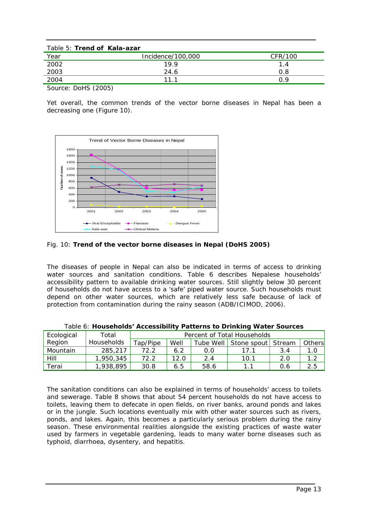| Table 5: Trend of Kala-azar     |                   |         |
|---------------------------------|-------------------|---------|
| Year                            | Incidence/100,000 | CFR/100 |
| 2002                            | 19.9              | 1.4     |
| 2003                            | 24.6              | 0.8     |
| 2004                            | 11.1              | ף ר     |
| $\sim$ $\sim$ $\sim$ $(0.0007)$ |                   |         |

Source: DoHS (2005)

Yet overall, the common trends of the vector borne diseases in Nepal has been a decreasing one (Figure 10).



# Fig. 10: **Trend of the vector borne diseases in Nepal (DoHS 2005)**

The diseases of people in Nepal can also be indicated in terms of access to drinking water sources and sanitation conditions. Table 6 describes Nepalese households' accessibility pattern to available drinking water sources. Still slightly below 30 percent of households do not have access to a 'safe' piped water source. Such households must depend on other water sources, which are relatively less safe because of lack of protection from contamination during the rainy season (ADB/ICIMOD, 2006).

| Ecological | Total             |          | Percent of Total Households |           |                    |     |        |  |
|------------|-------------------|----------|-----------------------------|-----------|--------------------|-----|--------|--|
| Region     | <b>Households</b> | Tap/Pipe | Well                        | Tube Well | Stone spout Stream |     | Others |  |
| Mountain   | 285,217           | 72.2     | 6.2                         | 0.0       | 17 1               | 3.4 | 1.0    |  |
| Hill       | 1,950,345         | 72.2     | 12.0                        | 2.4       | 10.1               | 2.0 | 1.2    |  |
| Terai      | 1,938,895         | 30.8     | 6.5                         | 58.6      | 1.1                | 0.6 | 2.5    |  |

Table 6: **Households' Accessibility Patterns to Drinking Water Sources**

The sanitation conditions can also be explained in terms of households' access to toilets and sewerage. Table 8 shows that about 54 percent households do not have access to toilets, leaving them to defecate in open fields, on river banks, around ponds and lakes or in the jungle. Such locations eventually mix with other water sources such as rivers, ponds, and lakes. Again, this becomes a particularly serious problem during the rainy season. These environmental realities alongside the existing practices of waste water used by farmers in vegetable gardening, leads to many water borne diseases such as typhoid, diarrhoea, dysentery, and hepatitis.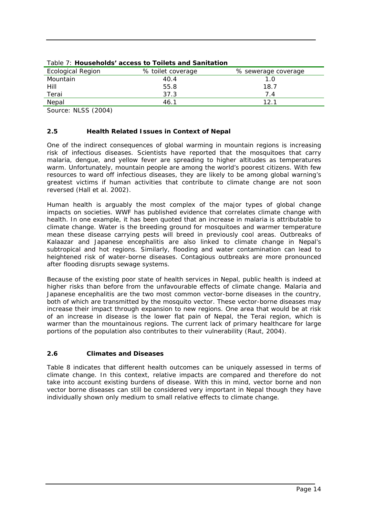| <b>Ecological Region</b> | % toilet coverage | % sewerage coverage |
|--------------------------|-------------------|---------------------|
| Mountain                 | 40.4              | 1.0                 |
| Hill                     | 55.8              | 18.7                |
| Terai                    | 37.3              | 7.4                 |
| Nepal                    | 46.1              | 12.1                |

### <span id="page-14-0"></span>Table 7: **Households' access to Toilets and Sanitation**

Source: NLSS (2004)

# **2.5 Health Related Issues in Context of Nepal**

One of the indirect consequences of global warming in mountain regions is increasing risk of infectious diseases. Scientists have reported that the mosquitoes that carry malaria, dengue, and yellow fever are spreading to higher altitudes as temperatures warm. Unfortunately, mountain people are among the world's poorest citizens. With few resources to ward off infectious diseases, they are likely to be among global warning's greatest victims if human activities that contribute to climate change are not soon reversed (Hall et al. 2002).

Human health is arguably the most complex of the major types of global change impacts on societies. WWF has published evidence that correlates climate change with health. In one example, it has been quoted that an increase in malaria is attributable to climate change. Water is the breeding ground for mosquitoes and warmer temperature mean these disease carrying pests will breed in previously cool areas. Outbreaks of Kalaazar and Japanese encephalitis are also linked to climate change in Nepal's subtropical and hot regions. Similarly, flooding and water contamination can lead to heightened risk of water-borne diseases. Contagious outbreaks are more pronounced after flooding disrupts sewage systems.

Because of the existing poor state of health services in Nepal, public health is indeed at higher risks than before from the unfavourable effects of climate change. Malaria and Japanese encephalitis are the two most common vector-borne diseases in the country, both of which are transmitted by the mosquito vector. These vector-borne diseases may increase their impact through expansion to new regions. One area that would be at risk of an increase in disease is the lower flat pain of Nepal, the Terai region, which is warmer than the mountainous regions. The current lack of primary healthcare for large portions of the population also contributes to their vulnerability (Raut, 2004).

# **2.6 Climates and Diseases**

Table 8 indicates that different health outcomes can be uniquely assessed in terms of climate change. In this context, relative impacts are compared and therefore do not take into account existing burdens of disease. With this in mind, vector borne and non vector borne diseases can still be considered very important in Nepal though they have individually shown only medium to small relative effects to climate change.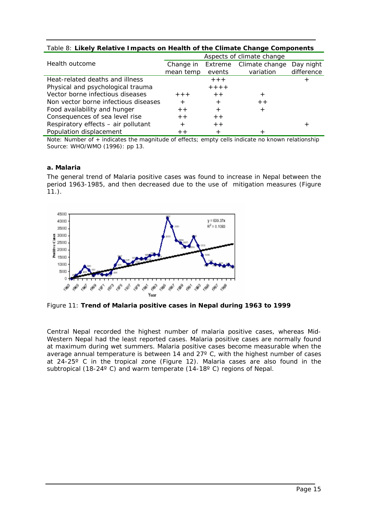| Table 8: Likely Relative Impacts on Health of the Climate Change Components |                           |                   |                             |                         |  |  |  |
|-----------------------------------------------------------------------------|---------------------------|-------------------|-----------------------------|-------------------------|--|--|--|
|                                                                             | Aspects of climate change |                   |                             |                         |  |  |  |
| Health outcome                                                              | Change in<br>mean temp    | Extreme<br>events | Climate change<br>variation | Day night<br>difference |  |  |  |
| Heat-related deaths and illness                                             |                           | $+ + +$           |                             |                         |  |  |  |
| Physical and psychological trauma                                           |                           | $+ + + +$         |                             |                         |  |  |  |
| Vector borne infectious diseases                                            | $+ + +$                   | $+ +$             | $\pm$                       |                         |  |  |  |
| Non vector borne infectious diseases                                        | $+$                       | $+$               | $+ +$                       |                         |  |  |  |
| Food availability and hunger                                                | $+ +$                     | $+$               | $\pm$                       |                         |  |  |  |
| Consequences of sea level rise                                              | $+ +$                     | $+ +$             |                             |                         |  |  |  |
| Respiratory effects - air pollutant                                         | $^{+}$                    | $+ +$             |                             | +                       |  |  |  |

### Table 8: **Likely Relative Impacts on Health of the Climate Change Components**

Note: Number of + indicates the magnitude of effects; empty cells indicate no known relationship Source: WHO/WMO (1996): pp 13.

### *a. Malaria*

The general trend of Malaria positive cases was found to increase in Nepal between the period 1963-1985, and then decreased due to the use of mitigation measures (Figure  $11.$ ).



Population displacement  $+$  +

Figure 11: **Trend of Malaria positive cases in Nepal during 1963 to 1999** 

Central Nepal recorded the highest number of malaria positive cases, whereas Mid-Western Nepal had the least reported cases. Malaria positive cases are normally found at maximum during wet summers. Malaria positive cases become measurable when the average annual temperature is between 14 and 27º C, with the highest number of cases at 24-25º C in the tropical zone (Figure 12). Malaria cases are also found in the subtropical (18-24°C) and warm temperate (14-18°C) regions of Nepal.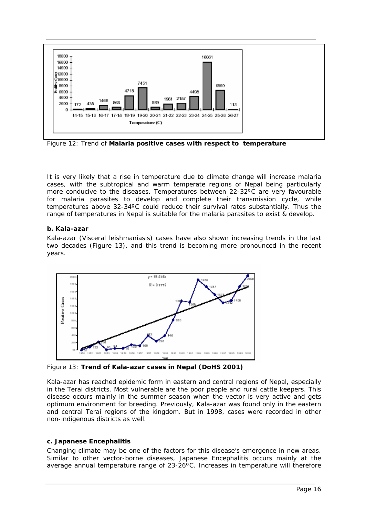

Figure 12: Trend of **Malaria positive cases with respect to temperature**

It is very likely that a rise in temperature due to climate change will increase malaria cases, with the subtropical and warm temperate regions of Nepal being particularly more conducive to the diseases. Temperatures between 22-32ºC are very favourable for malaria parasites to develop and complete their transmission cycle, while temperatures above 32-34ºC could reduce their survival rates substantially. Thus the range of temperatures in Nepal is suitable for the malaria parasites to exist & develop.

# *b. Kala-azar*

Kala-azar (*Visceral leishmaniasis*) cases have also shown increasing trends in the last two decades (Figure 13), and this trend is becoming more pronounced in the recent years.



Figure 13: **Trend of Kala-azar cases in Nepal (DoHS 2001)** 

Kala-azar has reached epidemic form in eastern and central regions of Nepal, especially in the Terai districts. Most vulnerable are the poor people and rural cattle keepers. This disease occurs mainly in the summer season when the vector is very active and gets optimum environment for breeding. Previously, Kala-azar was found only in the eastern and central Terai regions of the kingdom. But in 1998, cases were recorded in other non-indigenous districts as well.

# *c. Japanese Encephalitis*

Changing climate may be one of the factors for this disease's emergence in new areas. Similar to other vector-borne diseases, Japanese Encephalitis occurs mainly at the average annual temperature range of 23-26ºC. Increases in temperature will therefore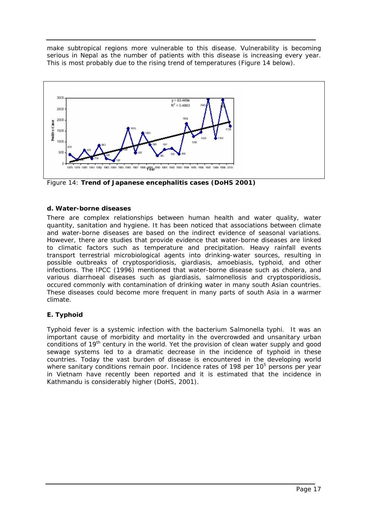make subtropical regions more vulnerable to this disease. Vulnerability is becoming serious in Nepal as the number of patients with this disease is increasing every year. This is most probably due to the rising trend of temperatures (Figure 14 below).



Figure 14: **Trend of Japanese encephalitis cases (DoHS 2001)** 

# *d. Water-borne diseases*

There are complex relationships between human health and water quality, water quantity, sanitation and hygiene. It has been noticed that associations between climate and water-borne diseases are based on the indirect evidence of seasonal variations. However, there are studies that provide evidence that water-borne diseases are linked to climatic factors such as temperature and precipitation. Heavy rainfall events transport terrestrial microbiological agents into drinking-water sources, resulting in possible outbreaks of cryptosporidiosis, giardiasis, amoebiasis, typhoid, and other infections. The IPCC (1996) mentioned that water-borne disease such as cholera, and various diarrhoeal diseases such as giardiasis, salmonellosis and cryptosporidiosis, occured commonly with contamination of drinking water in many south Asian countries. These diseases could become more frequent in many parts of south Asia in a warmer climate.

# **E. Typhoid**

Typhoid fever is a systemic infection with the bacterium *Salmonella typhi.* It was an important cause of morbidity and mortality in the overcrowded and unsanitary urban conditions of 19<sup>th</sup> century in the world. Yet the provision of clean water supply and good sewage systems led to a dramatic decrease in the incidence of typhoid in these countries. Today the vast burden of disease is encountered in the developing world where sanitary conditions remain poor. Incidence rates of 198 per 10<sup>5</sup> persons per year in Vietnam have recently been reported and it is estimated that the incidence in Kathmandu is considerably higher (DoHS, 2001).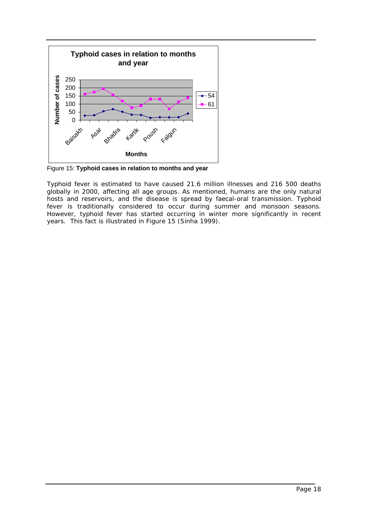

Figure 15: **Typhoid cases in relation to months and year** 

Typhoid fever is estimated to have caused 21.6 million illnesses and 216 500 deaths globally in 2000, affecting all age groups. As mentioned, humans are the only natural hosts and reservoirs, and the disease is spread by faecal-oral transmission. Typhoid fever is traditionally considered to occur during summer and monsoon seasons. However, typhoid fever has started occurring in winter more significantly in recent years. This fact is illustrated in Figure 15 (Sinha 1999).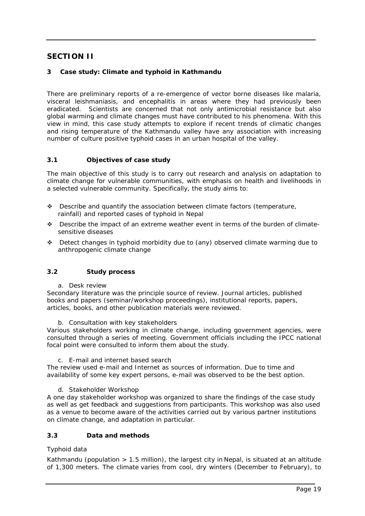# <span id="page-19-0"></span>**SECTION II**

# **3 Case study: Climate and typhoid in Kathmandu**

There are preliminary reports of a re-emergence of vector borne diseases like malaria, visceral leishmaniasis, and encephalitis in areas where they had previously been eradicated. Scientists are concerned that not only antimicrobial resistance but also global warming and climate changes must have contributed to his phenomena. With this view in mind, this case study attempts to explore if recent trends of climatic changes and rising temperature of the Kathmandu valley have any association with increasing number of culture positive typhoid cases in an urban hospital of the valley.

# **3.1 Objectives of case study**

The main objective of this study is to carry out research and analysis on adaptation to climate change for vulnerable communities, with emphasis on health and livelihoods in a selected vulnerable community. Specifically, the study aims to:

- $\cdot \cdot$  Describe and quantify the association between climate factors (temperature, rainfall) and reported cases of typhoid in Nepal
- \* Describe the impact of an extreme weather event in terms of the burden of climatesensitive diseases
- $\div$  Detect changes in typhoid morbidity due to (any) observed climate warming due to anthropogenic climate change

# **3.2 Study process**

*a. Desk review*

Secondary literature was the principle source of review. Journal articles, published books and papers (seminar/workshop proceedings), institutional reports, papers, articles, books, and other publication materials were reviewed.

### *b. Consultation with key stakeholders*

Various stakeholders working in climate change, including government agencies, were consulted through a series of meeting. Government officials including the IPCC national focal point were consulted to inform them about the study.

#### *c. E-mail and internet based search*

The review used e-mail and Internet as sources of information. Due to time and availability of some key expert persons, e-mail was observed to be the best option.

### *d. Stakeholder Workshop*

A one day stakeholder workshop was organized to share the findings of the case study as well as get feedback and suggestions from participants. This workshop was also used as a venue to become aware of the activities carried out by various partner institutions on climate change, and adaptation in particular.

### **3.3 Data and methods**

### *Typhoid data*

Kathmandu (population  $> 1.5$  million), the largest city in Nepal, is situated at an altitude of 1,300 meters. The climate varies from cool, dry winters (December to February), to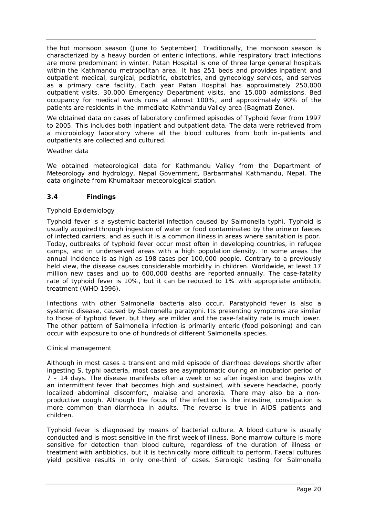<span id="page-20-0"></span>the hot monsoon season (June to September). Traditionally, the monsoon season is characterized by a heavy burden of enteric infections, while respiratory tract infections are more predominant in winter. Patan Hospital is one of three large general hospitals within the Kathmandu metropolitan area. It has 251 beds and provides inpatient and outpatient medical, surgical, pediatric, obstetrics, and gynecology services, and serves as a primary care facility. Each year Patan Hospital has approximately 250,000 outpatient visits, 30,000 Emergency Department visits, and 15,000 admissions. Bed occupancy for medical wards runs at almost 100%, and approximately 90% of the patients are residents in the immediate Kathmandu Valley area (Bagmati Zone).

We obtained data on cases of laboratory confirmed episodes of Typhoid fever from 1997 to 2005. This includes both inpatient and outpatient data. The data were retrieved from a microbiology laboratory where all the blood cultures from both in-patients and outpatients are collected and cultured.

### *Weather data*

We obtained meteorological data for Kathmandu Valley from the Department of Meteorology and hydrology, Nepal Government, Barbarmahal Kathmandu, Nepal. The data originate from Khumaltaar meteorological station.

### **3.4 Findings**

### *Typhoid Epidemiology*

Typhoid fever is a systemic bacterial infection caused by *Salmonella typhi*. Typhoid is usually acquired through ingestion of water or food contaminated by the urine or faeces of infected carriers, and as such it is a common illness in areas where sanitation is poor. Today, outbreaks of typhoid fever occur most often in developing countries, in refugee camps, and in underserved areas with a high population density. In some areas the annual incidence is as high as 198 cases per 100,000 people. Contrary to a previously held view, the disease causes considerable morbidity in children. Worldwide, at least 17 million new cases and up to 600,000 deaths are reported annually. The case-fatality rate of typhoid fever is 10%, but it can be reduced to 1% with appropriate antibiotic treatment (WHO 1996).

Infections with other *Salmonella* bacteria also occur. Paratyphoid fever is also a systemic disease, caused by *Salmonella paratyphi*. Its presenting symptoms are similar to those of typhoid fever, but they are milder and the case-fatality rate is much lower. The other pattern of *Salmonella* infection is primarily enteric (food poisoning) and can occur with exposure to one of hundreds of different *Salmonella* species.

### *Clinical management*

Although in most cases a transient and mild episode of diarrhoea develops shortly after ingesting *S.* typhi bacteria, most cases are asymptomatic during an incubation period of 7 – 14 days. The disease manifests often a week or so after ingestion and begins with an intermittent fever that becomes high and sustained, with severe headache, poorly localized abdominal discomfort, malaise and anorexia. There may also be a nonproductive cough. Although the focus of the infection is the intestine, constipation is more common than diarrhoea in adults. The reverse is true in AIDS patients and children.

Typhoid fever is diagnosed by means of bacterial culture. A blood culture is usually conducted and is most sensitive in the first week of illness. Bone marrow culture is more sensitive for detection than blood culture, regardless of the duration of illness or treatment with antibiotics, but it is technically more difficult to perform. Faecal cultures yield positive results in only one-third of cases. Serologic testing for *Salmonella*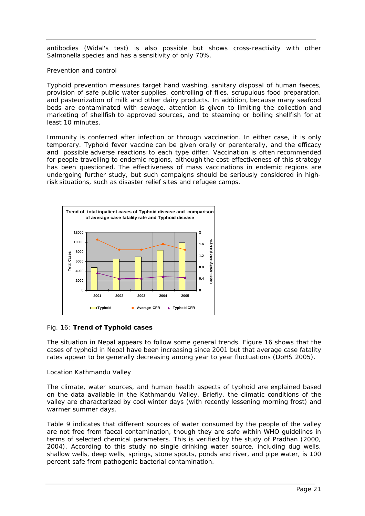antibodies (Widal's test) is also possible but shows cross-reactivity with other *Salmonella* species and has a sensitivity of only 70%.

### *Prevention and control*

Typhoid prevention measures target hand washing, sanitary disposal of human faeces, provision of safe public water supplies, controlling of flies, scrupulous food preparation, and pasteurization of milk and other dairy products. In addition, because many seafood beds are contaminated with sewage, attention is given to limiting the collection and marketing of shellfish to approved sources, and to steaming or boiling shellfish for at least 10 minutes.

Immunity is conferred after infection or through vaccination. In either case, it is only temporary. Typhoid fever vaccine can be given orally or parenterally, and the efficacy and possible adverse reactions to each type differ. Vaccination is often recommended for people travelling to endemic regions, although the cost-effectiveness of this strategy has been questioned. The effectiveness of mass vaccinations in endemic regions are undergoing further study, but such campaigns should be seriously considered in highrisk situations, such as disaster relief sites and refugee camps.



### Fig. 16: **Trend of Typhoid cases**

The situation in Nepal appears to follow some general trends. Figure 16 shows that the cases of typhoid in Nepal have been increasing since 2001 but that average case fatality rates appear to be generally decreasing among year to year fluctuations (DoHS 2005).

### *Location Kathmandu Valley*

The climate, water sources, and human health aspects of typhoid are explained based on the data available in the Kathmandu Valley. Briefly, the climatic conditions of the valley are characterized by cool winter days (with recently lessening morning frost) and warmer summer days.

Table 9 indicates that different sources of water consumed by the people of the valley are not free from faecal contamination, though they are safe within WHO guidelines in terms of selected chemical parameters. This is verified by the study of Pradhan (2000, 2004). According to this study no single drinking water source, including dug wells, shallow wells, deep wells, springs, stone spouts, ponds and river, and pipe water, is 100 percent safe from pathogenic bacterial contamination.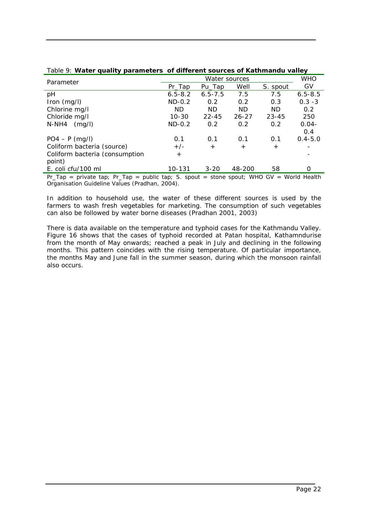|              | <b>WHO</b>  |           |               |             |
|--------------|-------------|-----------|---------------|-------------|
| $Pr_{a}$ Tap | Pu_Tap      | Well      | S. spout      | GV          |
| $6.5 - 8.2$  | $6.5 - 7.5$ | 7.5       | 7.5           | $6.5 - 8.5$ |
| $ND-0.2$     | 0.2         | 0.2       | 0.3           | $0.3 - 3$   |
| <b>ND</b>    | <b>ND</b>   | <b>ND</b> | <b>ND</b>     | 0.2         |
| $10 - 30$    | $22 - 45$   | $26 - 27$ | $23 - 45$     | 250         |
| $ND-0.2$     | 0.2         | 0.2       | 0.2           | $0.04 -$    |
|              |             |           |               | 0.4         |
| 0.1          | 0.1         | 0.1       | 0.1           | $0.4 - 5.0$ |
| $+/-$        | $+$         | $+$       | $^{+}$        |             |
| $+$          |             |           |               |             |
|              |             |           |               |             |
| 10-131       | $3 - 20$    | 48-200    | 58            | O           |
|              |             |           | Water sources |             |

### Table 9: **Water quality parameters of different sources of Kathmandu valley**

Pr\_Tap = private tap; Pr\_Tap = public tap; S. spout = stone spout; WHO GV = World Health Organisation Guideline Values (Pradhan, 2004).

In addition to household use, the water of these different sources is used by the farmers to wash fresh vegetables for marketing. The consumption of such vegetables can also be followed by water borne diseases (Pradhan 2001, 2003)

There is data available on the temperature and typhoid cases for the Kathmandu Valley. Figure 16 shows that the cases of typhoid recorded at Patan hospital, Kathamndurise from the month of May onwards; reached a peak in July and declining in the following months. This pattern coincides with the rising temperature. Of particular importance, the months May and June fall in the summer season, during which the monsoon rainfall also occurs.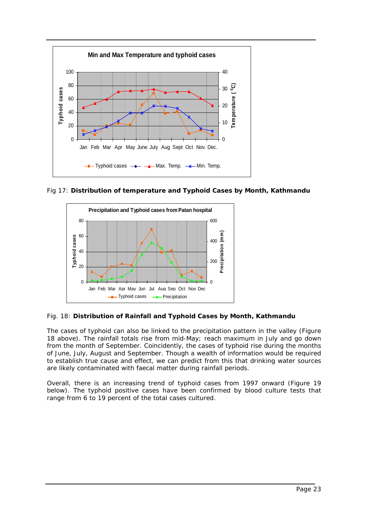

Fig 17: **Distribution of temperature and Typhoid Cases by Month, Kathmandu** 



# Fig. 18: **Distribution of Rainfall and Typhoid Cases by Month, Kathmandu**

The cases of typhoid can also be linked to the precipitation pattern in the valley (Figure 18 above). The rainfall totals rise from mid-May; reach maximum in July and go down from the month of September. Coincidently, the cases of typhoid rise during the months of June, July, August and September. Though a wealth of information would be required to establish true cause and effect, we can predict from this that drinking water sources are likely contaminated with faecal matter during rainfall periods.

Overall, there is an increasing trend of typhoid cases from 1997 onward (Figure 19 below). The typhoid positive cases have been confirmed by blood culture tests that range from 6 to 19 percent of the total cases cultured.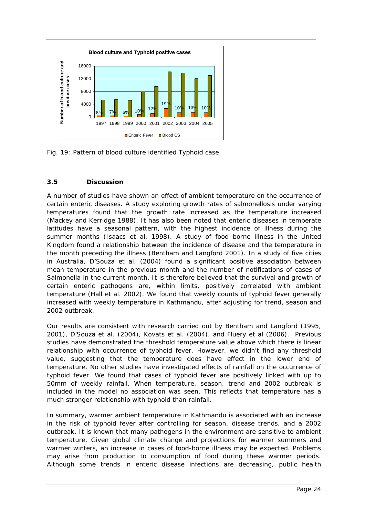<span id="page-24-0"></span>

Fig. 19: Pattern of blood culture identified Typhoid case

# **3.5 Discussion**

A number of studies have shown an effect of ambient temperature on the occurrence of certain enteric diseases. A study exploring growth rates of salmonellosis under varying temperatures found that the growth rate increased as the temperature increased (Mackey and Kerridge 1988). It has also been noted that enteric diseases in temperate latitudes have a seasonal pattern, with the highest incidence of illness during the summer months (Isaacs et al. 1998). A study of food borne illness in the United Kingdom found a relationship between the incidence of disease and the temperature in the month preceding the illness (Bentham and Langford 2001). In a study of five cities in Australia, D'Souza et al. (2004) found a significant positive association between mean temperature in the previous month and the number of notifications of cases of Salmonella in the current month. It is therefore believed that the survival and growth of certain enteric pathogens are, within limits, positively correlated with ambient temperature (Hall et al. 2002). We found that weekly counts of typhoid fever generally increased with weekly temperature in Kathmandu, after adjusting for trend, season and 2002 outbreak.

Our results are consistent with research carried out by Bentham and Langford (1995, 2001), D'Souza et al. (2004), Kovats et al. (2004), and Fluery et al (2006). Previous studies have demonstrated the threshold temperature value above which there is linear relationship with occurrence of typhoid fever. However, we didn't find any threshold value, suggesting that the temperature does have effect in the lower end of temperature. No other studies have investigated effects of rainfall on the occurrence of typhoid fever. We found that cases of typhoid fever are positively linked with up to 50mm of weekly rainfall. When temperature, season, trend and 2002 outbreak is included in the model no association was seen. This reflects that temperature has a much stronger relationship with typhoid than rainfall.

In summary, warmer ambient temperature in Kathmandu is associated with an increase in the risk of typhoid fever after controlling for season, disease trends, and a 2002 outbreak. It is known that many pathogens in the environment are sensitive to ambient temperature. Given global climate change and projections for warmer summers and warmer winters, an increase in cases of food-borne illness may be expected. Problems may arise from production to consumption of food during these warmer periods. Although some trends in enteric disease infections are decreasing, public health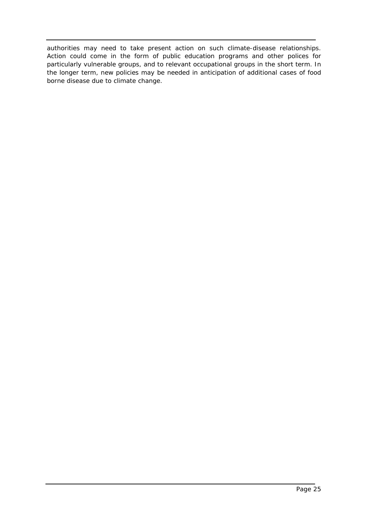authorities may need to take present action on such climate-disease relationships. Action could come in the form of public education programs and other polices for particularly vulnerable groups, and to relevant occupational groups in the short term. In the longer term, new policies may be needed in anticipation of additional cases of food borne disease due to climate change.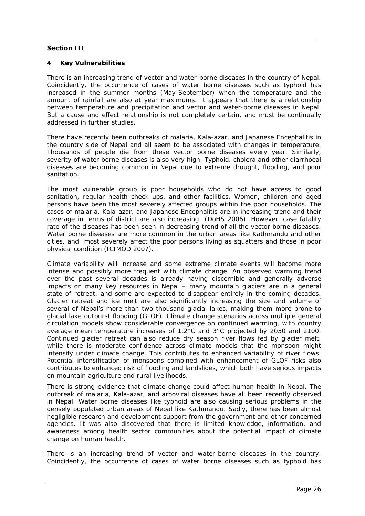### <span id="page-26-0"></span>**Section III**

### **4 Key Vulnerabilities**

There is an increasing trend of vector and water-borne diseases in the country of Nepal. Coincidently, the occurrence of cases of water borne diseases such as typhoid has increased in the summer months (May-September) when the temperature and the amount of rainfall are also at year maximums. It appears that there is a relationship between temperature and precipitation and vector and water-borne diseases in Nepal. But a cause and effect relationship is not completely certain, and must be continually addressed in further studies.

There have recently been outbreaks of malaria, Kala-azar, and Japanese Encephalitis in the country side of Nepal and all seem to be associated with changes in temperature. Thousands of people die from these vector borne diseases every year. Similarly, severity of water borne diseases is also very high. Typhoid, cholera and other diarrhoeal diseases are becoming common in Nepal due to extreme drought, flooding, and poor sanitation.

The most vulnerable group is poor households who do not have access to good sanitation, regular health check ups, and other facilities. Women, children and aged persons have been the most severely affected groups within the poor households. The cases of malaria, Kala-azar, and Japanese Encephalitis are in increasing trend and their coverage in terms of district are also increasing (DoHS 2006). However, case fatality rate of the diseases has been seen in decreasing trend of all the vector borne diseases. Water borne diseases are more common in the urban areas like Kathmandu and other cities, and most severely affect the poor persons living as squatters and those in poor physical condition (ICIMOD 2007).

Climate variability will increase and some extreme climate events will become more intense and possibly more frequent with climate change. An observed warming trend over the past several decades is already having discernible and generally adverse impacts on many key resources in Nepal – many mountain glaciers are in a general state of retreat, and some are expected to disappear entirely in the coming decades. Glacier retreat and ice melt are also significantly increasing the size and volume of several of Nepal's more than two thousand glacial lakes, making them more prone to glacial lake outburst flooding (GLOF). Climate change scenarios across multiple general circulation models show considerable convergence on continued warming, with country average mean temperature increases of 1.2°C and 3°C projected by 2050 and 2100. Continued glacier retreat can also reduce dry season river flows fed by glacier melt, while there is moderate confidence across climate models that the monsoon might intensify under climate change. This contributes to enhanced variability of river flows. Potential intensification of monsoons combined with enhancement of GLOF risks also contributes to enhanced risk of flooding and landslides, which both have serious impacts on mountain agriculture and rural livelihoods.

There is strong evidence that climate change could affect human health in Nepal. The outbreak of malaria, Kala-azar, and arboviral diseases have all been recently observed in Nepal. Water borne diseases like typhoid are also causing serious problems in the densely populated urban areas of Nepal like Kathmandu. Sadly, there has been almost negligible research and development support from the government and other concerned agencies. It was also discovered that there is limited knowledge, information, and awareness among health sector communities about the potential impact of climate change on human health.

There is an increasing trend of vector and water-borne diseases in the country. Coincidently, the occurrence of cases of water borne diseases such as typhoid has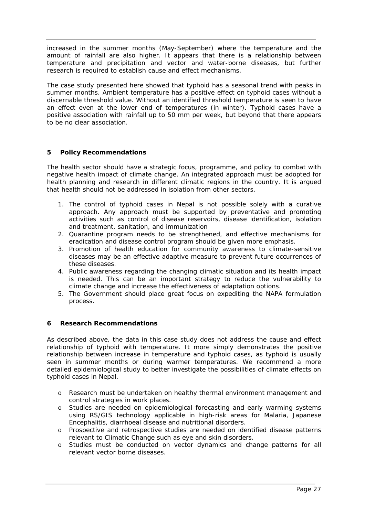<span id="page-27-0"></span>increased in the summer months (May-September) where the temperature and the amount of rainfall are also higher. It appears that there is a relationship between temperature and precipitation and vector and water-borne diseases, but further research is required to establish cause and effect mechanisms.

The case study presented here showed that typhoid has a seasonal trend with peaks in summer months. Ambient temperature has a positive effect on typhoid cases without a discernable threshold value. Without an identified threshold temperature is seen to have an effect even at the lower end of temperatures (in winter). Typhoid cases have a positive association with rainfall up to 50 mm per week, but beyond that there appears to be no clear association.

# **5 Policy Recommendations**

The health sector should have a strategic focus, programme, and policy to combat with negative health impact of climate change. An integrated approach must be adopted for health planning and research in different climatic regions in the country. It is argued that health should not be addressed in isolation from other sectors.

- 1. The control of typhoid cases in Nepal is not possible solely with a curative approach. Any approach must be supported by preventative and promoting activities such as control of disease reservoirs, disease identification, isolation and treatment, sanitation, and immunization
- 2. Quarantine program needs to be strengthened, and effective mechanisms for eradication and disease control program should be given more emphasis.
- 3. Promotion of health education for community awareness to climate-sensitive diseases may be an effective adaptive measure to prevent future occurrences of these diseases.
- 4. Public awareness regarding the changing climatic situation and its health impact is needed. This can be an important strategy to reduce the vulnerability to climate change and increase the effectiveness of adaptation options.
- 5. The Government should place great focus on expediting the NAPA formulation process.

# **6 Research Recommendations**

As described above, the data in this case study does not address the cause and effect relationship of typhoid with temperature. It more simply demonstrates the positive relationship between increase in temperature and typhoid cases, as typhoid is usually seen in summer months or during warmer temperatures. We recommend a more detailed epidemiological study to better investigate the possibilities of climate effects on typhoid cases in Nepal.

- o Research must be undertaken on healthy thermal environment management and control strategies in work places.
- o Studies are needed on epidemiological forecasting and early warming systems using RS/GIS technology applicable in high-risk areas for Malaria, Japanese Encephalitis, diarrhoeal disease and nutritional disorders.
- o Prospective and retrospective studies are needed on identified disease patterns relevant to Climatic Change such as eye and skin disorders.
- o Studies must be conducted on vector dynamics and change patterns for all relevant vector borne diseases.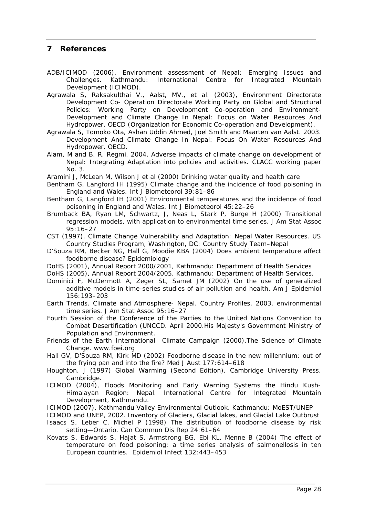# <span id="page-28-0"></span>**7 References**

- ADB/ICIMOD (2006), Environment assessment of Nepal: Emerging Issues and Challenges. Kathmandu: International Centre for Integrated Mountain Development (ICIMOD).
- Agrawala S, Raksakulthai V., Aalst, MV., et al. (2003), Environment Directorate Development Co- Operation Directorate Working Party on Global and Structural Policies: Working Party on Development Co-operation and Environment-Development and Climate Change In Nepal: Focus on Water Resources And Hydropower. OECD (Organization for Economic Co-operation and Development).
- Agrawala S, Tomoko Ota, Ashan Uddin Ahmed, Joel Smith and Maarten van Aalst. 2003. Development And Climate Change In Nepal: Focus On Water Resources And Hydropower. OECD.
- Alam, M and B. R. Regmi. 2004. Adverse impacts of climate change on development of Nepal: Integrating Adaptation into policies and activities. CLACC working paper No. 3.

Aramini J, McLean M, Wilson J et al (2000) Drinking water quality and health care

- Bentham G, Langford IH (1995) Climate change and the incidence of food poisoning in England and Wales. Int J Biometeorol 39:81–86
- Bentham G, Langford IH (2001) Environmental temperatures and the incidence of food poisoning in England and Wales. Int J Biometeorol 45:22–26
- Brumback BA, Ryan LM, Schwartz, J, Neas L, Stark P, Burge H (2000) Transitional regression models, with application to environmental time series. J Am Stat Assoc 95:16–27
- CST (1997), Climate Change Vulnerability and Adaptation: Nepal Water Resources. US Country Studies Program, Washington, DC: Country Study Team–Nepal
- D'Souza RM, Becker NG, Hall G, Moodie KBA (2004) Does ambient temperature affect foodborne disease? Epidemiology
- DoHS (2001), *Annual Report 2000/2001,* Kathmandu: Department of Health Services
- DoHS (2005), *Annual Report 2004/2005,* Kathmandu: Department of Health Services.
- Dominici F, McDermott A, Zeger SL, Samet JM (2002) On the use of generalized additive models in time-series studies of air pollution and health. Am J Epidemiol 156:193–203
- Earth Trends. Climate and Atmosphere- Nepal. Country Profiles. 2003. environmental time series. J Am Stat Assoc 95:16–27
- *Fourth Session of the Conference of the Parties to the United Nations Convention to Combat Desertification (UNCCD.* April 2000.His Majesty's Government Ministry of Population and Environment.
- Friends of the Earth International Climate Campaign (2000).The Science of Climate Change. www.foei.org
- Hall GV, D'Souza RM, Kirk MD (2002) Foodborne disease in the new millennium: out of the frying pan and into the fire? Med J Aust 177:614–618
- Houghton, J (1997) Global Warming (Second Edition), Cambridge University Press, Cambridge.
- ICIMOD (2004), Floods Monitoring and Early Warning Systems the Hindu Kush-Himalayan Region: Nepal. International Centre for Integrated Mountain Development, Kathmandu.
- ICIMOD (2007), Kathmandu Valley Environmental Outlook. Kathmandu: MoEST/UNEP
- ICIMOD and UNEP, 2002. Inventory of Glaciers, Glacial lakes, and Glacial Lake Outbrust Isaacs S, Leber C, Michel P (1998) The distribution of foodborne disease by risk setting—Ontario. Can Commun Dis Rep 24:61–64
- Kovats S, Edwards S, Hajat S, Armstrong BG, Ebi KL, Menne B (2004) The effect of temperature on food poisoning: a time series analysis of salmonellosis in ten European countries. Epidemiol Infect 132:443–453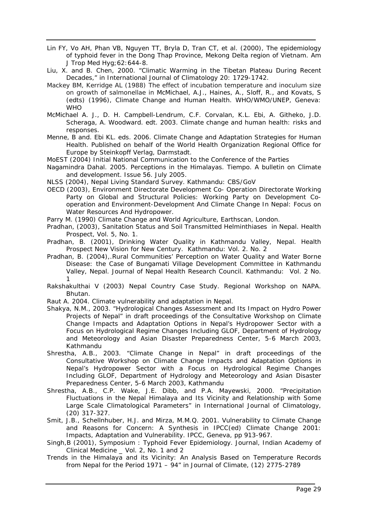- Lin FY, Vo AH, Phan VB, Nguyen TT, Bryla D, Tran CT, et al. (2000), The epidemiology of typhoid fever in the Dong Thap Province, Mekong Delta region of Vietnam. Am J Trop Med Hyg;62:644-8.
- Liu, X. and B. Chen, 2000. "Climatic Warming in the Tibetan Plateau During Recent Decades," in International Journal of Climatology 20: 1729-1742.
- Mackey BM, Kerridge AL (1988) The effect of incubation temperature and inoculum size on growth of salmonellae in McMichael, A.J., Haines, A., Sloff, R., and Kovats, S (edts) (1996), Climate Change and Human Health. WHO/WMO/UNEP, Geneva: **WHO**
- McMichael A. J., D. H. Campbell-Lendrum, C.F. Corvalan, K.L. Ebi, A. Githeko, J.D. Scheraga, A. Woodward. edt. 2003. Climate change and human health: risks and responses.
- Menne, B and. Ebi KL. eds. 2006. Climate Change and Adaptation Strategies for Human Health. Published on behalf of the World Health Organization Regional Office for Europe by Steinkopff Verlag, Darmstadt.
- MoEST (2004) Initial National Communication to the Conference of the Parties
- Nagamindra Dahal. 2005. Perceptions in the Himalayas. Tiempo. A bulletin on Climate and development. Issue 56. July 2005.
- NLSS (2004), *Nepal Living Standard Survey*. Kathmandu: CBS/GoV
- OECD (2003), Environment Directorate Development Co- Operation Directorate Working Party on Global and Structural Policies: Working Party on Development Cooperation and Environment-Development And Climate Change In Nepal: Focus on Water Resources And Hydropower.
- Parry M. (1990) Climate Change and World Agriculture, Earthscan, London.
- Pradhan, (2003), Sanitation Status and Soil Transmitted Helminthiases in Nepal. Health Prospect, Vol. 5, No. 1.
- Pradhan, B. (2001), Drinking Water Quality in Kathmandu Valley, Nepal. *Health Prospect New Vision for New Century*. Kathmandu: Vol. 2. No. 2
- Pradhan, B. (2004),*.*Rural Communities' Perception on Water Quality and Water Borne Disease: the Case of Bungamati Village Development Committee in Kathmandu Valley, Nepal. Journal of Nepal Health Research Council. Kathmandu: Vol. 2 No. 1
- Rakshakulthai V (2003) Nepal Country Case Study. Regional Workshop on NAPA. Bhutan.
- Raut A. 2004. Climate vulnerability and adaptation in Nepal.
- Shakya, N.M., 2003. "Hydrological Changes Assessment and Its Impact on Hydro Power Projects of Nepal" in draft proceedings of the Consultative Workshop on Climate Change Impacts and Adaptation Options in Nepal's Hydropower Sector with a Focus on Hydrological Regime Changes Including GLOF, Department of Hydrology and Meteorology and Asian Disaster Preparedness Center, 5-6 March 2003, Kathmandu
- Shrestha, A.B., 2003. "Climate Change in Nepal" in draft proceedings of the *Consultative Workshop on Climate Change Impacts and Adaptation Options in Nepal's Hydropower Sector with a Focus on Hydrological Regime Changes Including GLO*F, Department of Hydrology and Meteorology and Asian Disaster Preparedness Center, 5-6 March 2003, Kathmandu
- Shrestha, A.B., C.P. Wake, J.E. Dibb, and P.A. Mayewski, 2000. "Precipitation Fluctuations in the Nepal Himalaya and Its Vicinity and Relationship with Some Large Scale Climatological Parameters" in International Journal of Climatology, (20) 317-327.
- Smit, J.B., Schellnhuber, H.J. and Mirza, M.M.Q. 2001. Vulnerability to Climate Change and Reasons for Concern: A Synthesis in IPCC(ed) Climate Change 2001: Impacts, Adaptation and Vulnerability. IPCC, Geneva, pp 913-967.
- Singh,B (2001), Symposium : Typhoid Fever Epidemiology. Journal, Indian Academy of Clinical Medicine \_ Vol. 2, No. 1 and 2
- Trends in the Himalaya and its Vicinity: An Analysis Based on Temperature Records from Nepal for the Period 1971 – 94" in *Journal of Climate,* (12) 2775-2789